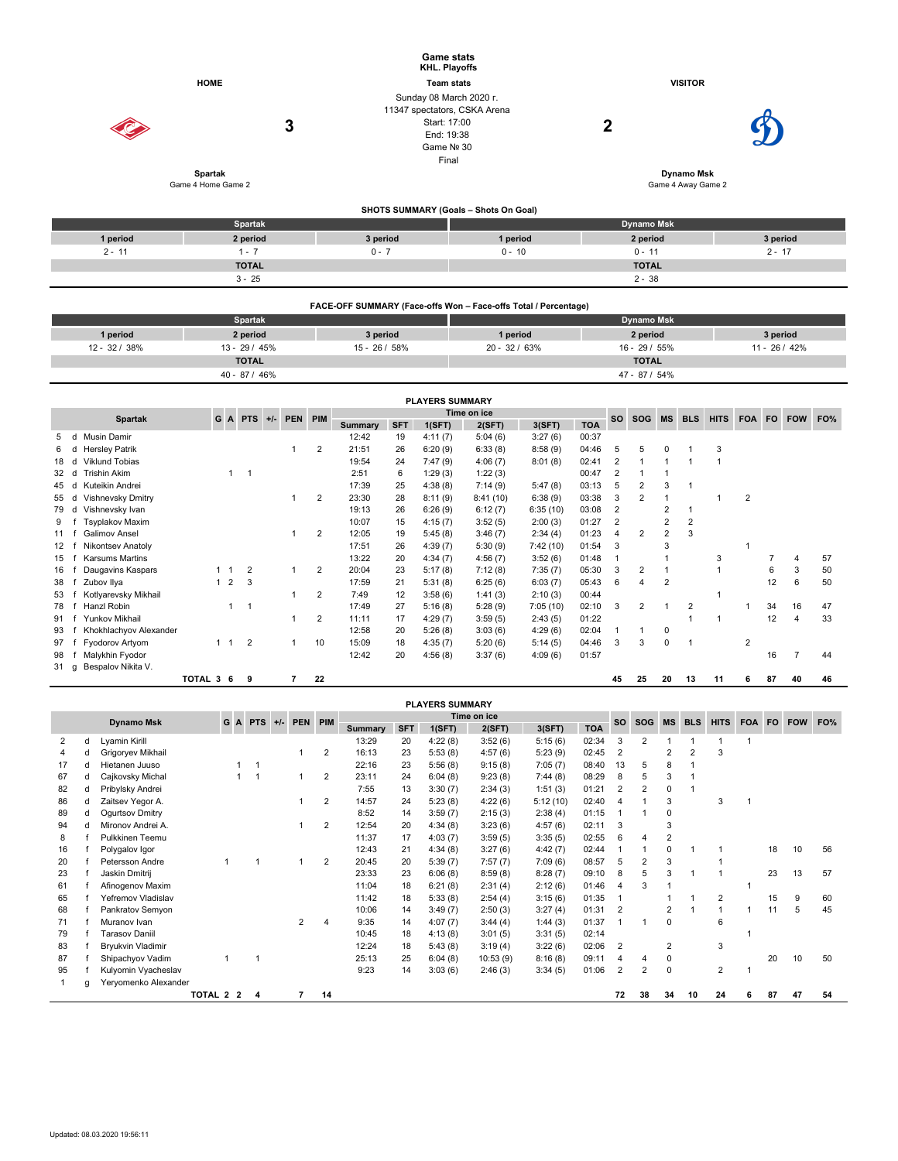|                                | <b>HOME</b><br>3                     | <b>Game stats</b><br><b>KHL. Playoffs</b><br><b>Team stats</b><br>Sunday 08 March 2020 r.<br>11347 spectators, CSKA Arena<br>Start: 17:00<br>End: 19:38<br>Game Nº 30<br>Final |                        |                                           |                   | <b>VISITOR</b><br>2 |                   |                               |              |                                         |                             |                      |  |  |  |
|--------------------------------|--------------------------------------|--------------------------------------------------------------------------------------------------------------------------------------------------------------------------------|------------------------|-------------------------------------------|-------------------|---------------------|-------------------|-------------------------------|--------------|-----------------------------------------|-----------------------------|----------------------|--|--|--|
|                                | <b>Spartak</b><br>Game 4 Home Game 2 |                                                                                                                                                                                |                        |                                           |                   |                     |                   |                               |              | <b>Dynamo Msk</b><br>Game 4 Away Game 2 |                             |                      |  |  |  |
|                                |                                      |                                                                                                                                                                                |                        |                                           |                   |                     |                   |                               |              |                                         |                             |                      |  |  |  |
|                                |                                      |                                                                                                                                                                                |                        | SHOTS SUMMARY (Goals - Shots On Goal)     |                   |                     |                   |                               |              |                                         |                             |                      |  |  |  |
| 1 period                       | Spartak<br>2 period                  | 3 period                                                                                                                                                                       |                        | <b>Dynamo Msk</b><br>1 period<br>2 period |                   |                     |                   |                               |              |                                         |                             |                      |  |  |  |
| $2 - 11$                       | $1 - 7$                              | $0 - 7$                                                                                                                                                                        |                        | $0 - 10$                                  |                   |                     |                   | $0 - 11$                      |              |                                         |                             | 3 period<br>$2 - 17$ |  |  |  |
|                                | <b>TOTAL</b>                         |                                                                                                                                                                                |                        |                                           |                   |                     |                   | <b>TOTAL</b>                  |              |                                         |                             |                      |  |  |  |
|                                | $3 - 25$                             |                                                                                                                                                                                |                        |                                           |                   |                     |                   | $2 - 38$                      |              |                                         |                             |                      |  |  |  |
|                                |                                      |                                                                                                                                                                                |                        |                                           |                   |                     |                   |                               |              |                                         |                             |                      |  |  |  |
|                                |                                      | FACE-OFF SUMMARY (Face-offs Won - Face-offs Total / Percentage)                                                                                                                |                        |                                           |                   |                     |                   |                               |              |                                         |                             |                      |  |  |  |
|                                | Spartak                              |                                                                                                                                                                                |                        |                                           |                   |                     | <b>Dynamo Msk</b> |                               |              |                                         |                             |                      |  |  |  |
| 1 period                       | 2 period                             |                                                                                                                                                                                | 3 period<br>1 period   |                                           |                   |                     |                   | 2 period                      |              |                                         | 3 period<br>$11 - 26 / 42%$ |                      |  |  |  |
| 12 - 32 / 38%                  | $13 - 29 / 45%$<br><b>TOTAL</b>      | 15 - 26 / 58%                                                                                                                                                                  |                        | 20 - 32 / 63%                             |                   |                     |                   | 16 - 29 / 55%<br><b>TOTAL</b> |              |                                         |                             |                      |  |  |  |
|                                | 40 - 87 / 46%                        |                                                                                                                                                                                |                        |                                           |                   |                     |                   | 47 - 87 / 54%                 |              |                                         |                             |                      |  |  |  |
|                                |                                      |                                                                                                                                                                                |                        |                                           |                   |                     |                   |                               |              |                                         |                             |                      |  |  |  |
|                                |                                      |                                                                                                                                                                                | <b>PLAYERS SUMMARY</b> |                                           |                   |                     |                   |                               |              |                                         |                             |                      |  |  |  |
| <b>Spartak</b>                 | GA<br>PEN PIM<br><b>PTS</b><br>$+/-$ |                                                                                                                                                                                |                        | Time on ice                               |                   |                     | <b>SO</b>         | SOG MS BLS                    |              |                                         |                             | HITS FOA FO FOW FO%  |  |  |  |
| <b>Musin Damir</b><br>d<br>5   |                                      | <b>SFT</b><br>Summary<br>12:42<br>19                                                                                                                                           | 1(SFT)<br>4:11(7)      | 2(SFT)<br>5:04(6)                         | 3(SFT)<br>3:27(6) | <b>TOA</b><br>00:37 |                   |                               |              |                                         |                             |                      |  |  |  |
| <b>Hersley Patrik</b><br>d     | 1                                    | $\overline{2}$<br>21:51<br>26                                                                                                                                                  | 6:20(9)                | 6:33(8)                                   | 8:58(9)           | 04:46               | 5                 | 5                             | 0            |                                         | 3                           |                      |  |  |  |
| Viklund Tobias<br>d<br>18      |                                      | 19:54<br>24                                                                                                                                                                    | 7:47(9)                | 4:06(7)                                   | 8:01(8)           | 02:41               | $\sqrt{2}$        | $\mathbf{1}$                  | $\mathbf{1}$ | $\overline{1}$                          | $\mathbf{1}$                |                      |  |  |  |
| <b>Trishin Akim</b><br>d<br>32 | $\mathbf{1}$<br>$\overline{1}$       | 2:51<br>6                                                                                                                                                                      | 1:29(3)                | 1:22(3)                                   |                   | 00:47               | $\overline{2}$    | $\mathbf{1}$                  | $\mathbf{1}$ |                                         |                             |                      |  |  |  |
| Kuteikin Andrei<br>d<br>45     |                                      | 17:39<br>25                                                                                                                                                                    | 4:38(8)                | 7:14(9)                                   | 5:47(8)           | 03:13               | 5                 | $\overline{c}$                | 3            | $\overline{1}$                          |                             |                      |  |  |  |
| 55 d Vishnevsky Dmitry         | 1                                    | 23:30<br>28<br>2                                                                                                                                                               | 8:11(9)                | 8:41(10)                                  | 6:38(9)           | 03:38               | 3                 | 2                             | $\mathbf{1}$ |                                         | $\mathbf{1}$                | $\boldsymbol{2}$     |  |  |  |

55 d Vishnevsky Dmitry 1 2 23:30 28 8:11 (9) 8:41 (10) 6:38 (9) 03:38 3 2 1 1 2<br>1 1 2 19:13 26 6:26 (9) 6:12 (7) 6:35 (10) 03:08 2 2 1

12 f Nikontsev Anatoly 17:51 26 4:39 (7) 5:30 (9) 7:42 (10) 01:54 3 3 1<br>13 f Karsums Martins 13:22 20 4:34 (7) 4:56 (7) 3:52 (6) 01:48 1 1 3

1 2 7:49 12 3:58 (6) 1:41 (3) 2:10 (3) 00:44<br>
1 2 7:49 12 3:58 (6) 1:41 (3) 2:10 (3) 00:44<br>
1 1 1 1:49 27 5:16 (8) 5:28 (9) 7:05 (10) 02:10 3 2 1 2

15 f Karsums Martins<br>15 f Karsums Martins 13:22 20 4:34 (7) 4:56 (7) 3:52 (6) 01:48 1 1 3 7 4 57<br>16 f Daugavins Kaspars 1 1 2 1 2 20:04 23 5:17 (8) 7:12 (8) 7:35 (7) 05:30 3 2 1 1 6 3 50<br>1 2 3 17:59 21 5:31 (8) 6:25 (6) 6: 16 f Daugavins Kaspars 1 1 2 1 2 20:04 23 5:17 (8) 7:12 (8) 7:35 (7) 05:30 3 2 1 1 6 3 50<br>38 f Zubovillya 1 2 3 17:59 21 5:31 (8) 6:25 (6) 6:03 (7) 05:43 6 4 2 12 6 50 38 f Zubov Ilya 1 2 3 17:59 21 5:31 (8) 6:25 (6) 6:03 (7) 05:43 6 4 2 12 6 50

78 f Hanzl Robin 1 1 17:49 27 5:16 (8) 5:28 (9) 7:05 (10) 02:10 3 2 1 2 1 34 16 47 91 f Yunkov Mikhail 12 4 33<br>93 f Khokhlachyov Alexander 1 2 11:11 17 4:29 (7) 3:59 (5) 2:43 (5) 01:22 1 1 1 12 4 33

79 d Vishnevsky Ivan 19:13 26 6:26 (9) 6:12 (7) 6:35 (10) 03:08 2 2 1 9 f Tsyplakov Maxim 10:07 15 4:15 (7) 3:52 (5) 2:00 (3) 01:27 2 2 2 11 f Galimov Ansel 1 2 12:05 19 5:45 (8) 3:46 (7) 2:34 (4) 01:23 4 2 2 3<br>12 f Nikontsev Anatoly 17:42 (10) 01:54 3 3

| 93 |   |   | Khokhlachyov Alexander   |             |             |   |                |       |                |                | 12:58          | 20         | 5:26(8)                | 3:03(6)     | 4:29(6)  | 02:04      |                |                | $\Omega$       |                |                |                |     |                |     |
|----|---|---|--------------------------|-------------|-------------|---|----------------|-------|----------------|----------------|----------------|------------|------------------------|-------------|----------|------------|----------------|----------------|----------------|----------------|----------------|----------------|-----|----------------|-----|
| 97 |   |   | Fyodorov Artyom          |             | $1 \quad 1$ |   | $\overline{2}$ |       | $\mathbf{1}$   | 10             | 15:09          | 18         | 4:35(7)                | 5:20(6)     | 5:14(5)  | 04:46      | 3              | 3              | $\Omega$       | -1             |                | $\overline{2}$ |     |                |     |
| 98 |   |   | Malykhin Fyodor          |             |             |   |                |       |                |                | 12:42          | 20         | 4:56(8)                | 3:37(6)     | 4:09(6)  | 01:57      |                |                |                |                |                |                | 16  | $\overline{7}$ | 44  |
| 31 | q |   | Bespalov Nikita V.       |             |             |   |                |       |                |                |                |            |                        |             |          |            |                |                |                |                |                |                |     |                |     |
|    |   |   |                          | TOTAL 3 6 9 |             |   |                |       | $\overline{7}$ | 22             |                |            |                        |             |          |            | 45             | 25             | 20             | 13             | 11             | 6              | 87  | 40             | 46  |
|    |   |   |                          |             |             |   |                |       |                |                |                |            |                        |             |          |            |                |                |                |                |                |                |     |                |     |
|    |   |   |                          |             |             |   |                |       |                |                |                |            | <b>PLAYERS SUMMARY</b> |             |          |            |                |                |                |                |                |                |     |                |     |
|    |   |   | <b>Dynamo Msk</b>        |             |             |   | G A PTS        | $+/-$ |                | PEN PIM        |                |            |                        | Time on ice |          |            | <b>SO</b>      | <b>SOG</b>     | <b>MS</b>      | <b>BLS</b>     | <b>HITS</b>    | <b>FOA</b>     | FO. | <b>FOW</b>     | FO% |
|    |   |   |                          |             |             |   |                |       |                |                | <b>Summary</b> | <b>SFT</b> | 1(SFT)                 | 2(SFT)      | 3(SFT)   | <b>TOA</b> |                |                |                |                |                |                |     |                |     |
| 2  |   | d | Lyamin Kirill            |             |             |   |                |       |                |                | 13:29          | 20         | 4:22(8)                | 3:52(6)     | 5:15(6)  | 02:34      | 3              | 2              |                |                |                | 1              |     |                |     |
|    |   | d | Grigoryev Mikhail        |             |             |   |                |       |                | 2              | 16:13          | 23         | 5:53(8)                | 4:57(6)     | 5:23(9)  | 02:45      | $\overline{2}$ |                | $\overline{2}$ | $\overline{2}$ | 3              |                |     |                |     |
| 17 |   | d | Hietanen Juuso           |             |             |   | -1             |       |                |                | 22:16          | 23         | 5:56(8)                | 9:15(8)     | 7:05(7)  | 08:40      | 13             | 5              | 8              | 1              |                |                |     |                |     |
| 67 |   | d | Cajkovsky Michal         |             |             | 1 |                |       | $\mathbf 1$    | $\overline{2}$ | 23:11          | 24         | 6:04(8)                | 9:23(8)     | 7:44(8)  | 08:29      | 8              | 5              | 3              | $\mathbf{1}$   |                |                |     |                |     |
| 82 |   | d | Pribylsky Andrei         |             |             |   |                |       |                |                | 7:55           | 13         | 3:30(7)                | 2:34(3)     | 1:51(3)  | 01:21      | $\overline{2}$ | $\overline{2}$ | 0              | 1              |                |                |     |                |     |
| 86 |   | d | Zaitsev Yegor A.         |             |             |   |                |       | $\mathbf 1$    | $\overline{2}$ | 14:57          | 24         | 5:23(8)                | 4:22(6)     | 5:12(10) | 02:40      | $\overline{4}$ |                | 3              |                | 3              | $\mathbf{1}$   |     |                |     |
| 89 |   | d | Ogurtsov Dmitry          |             |             |   |                |       |                |                | 8:52           | 14         | 3:59(7)                | 2:15(3)     | 2:38(4)  | 01:15      |                | -1             | 0              |                |                |                |     |                |     |
| 94 |   | d | Mironov Andrei A.        |             |             |   |                |       | $\mathbf 1$    | 2              | 12:54          | 20         | 4:34(8)                | 3:23(6)     | 4:57(6)  | 02:11      | 3              |                | 3              |                |                |                |     |                |     |
| 8  |   |   | Pulkkinen Teemu          |             |             |   |                |       |                |                | 11:37          | 17         | 4:03(7)                | 3:59(5)     | 3:35(5)  | 02:55      | 6              | 4              | $\overline{2}$ |                |                |                |     |                |     |
| 16 |   |   | Polygalov Igor           |             |             |   |                |       |                |                | 12:43          | 21         | 4:34(8)                | 3:27(6)     | 4:42(7)  | 02:44      |                |                | $\Omega$       | и              |                |                | 18  | 10             | 56  |
| 20 |   |   | Petersson Andre          |             |             |   | $\mathbf{1}$   |       | $\mathbf{1}$   | 2              | 20:45          | 20         | 5:39(7)                | 7:57(7)     | 7:09(6)  | 08:57      | 5              | 2              | 3              |                |                |                |     |                |     |
| 23 |   |   | Jaskin Dmitrij           |             |             |   |                |       |                |                | 23:33          | 23         | 6:06(8)                | 8:59(8)     | 8:28(7)  | 09:10      | 8              | 5              | 3              | $\mathbf{1}$   |                |                | 23  | 13             | 57  |
| 61 |   |   | Afinogenov Maxim         |             |             |   |                |       |                |                | 11:04          | 18         | 6:21(8)                | 2:31(4)     | 2:12(6)  | 01:46      | 4              | 3              |                |                |                | 1              |     |                |     |
| 65 |   |   | Yefremov Vladislav       |             |             |   |                |       |                |                | 11:42          | 18         | 5:33(8)                | 2:54(4)     | 3:15(6)  | 01:35      |                |                |                | 1              | 2              |                | 15  | 9              | 60  |
| 68 |   |   | Pankratov Semyon         |             |             |   |                |       |                |                | 10:06          | 14         | 3:49(7)                | 2:50(3)     | 3:27(4)  | 01:31      | $\overline{2}$ |                | $\overline{2}$ |                | $\mathbf{1}$   | 1              | 11  | 5              | 45  |
| 71 |   |   | Muranov Ivan             |             |             |   |                |       | 2              |                | 9:35           | 14         | 4:07(7)                | 3:44(4)     | 1:44(3)  | 01:37      |                | -1             | $\Omega$       |                | 6              |                |     |                |     |
| 79 |   |   | <b>Tarasov Daniil</b>    |             |             |   |                |       |                |                | 10:45          | 18         | 4:13(8)                | 3:01(5)     | 3:31(5)  | 02:14      |                |                |                |                |                | $\mathbf{1}$   |     |                |     |
| 83 |   |   | <b>Bryukvin Vladimir</b> |             |             |   |                |       |                |                | 12:24          | 18         | 5:43(8)                | 3:19(4)     | 3:22(6)  | 02:06      | 2              |                | $\overline{2}$ |                | 3              |                |     |                |     |
| 87 |   |   | Shipachyov Vadim         |             |             |   |                |       |                |                | 25:13          | 25         | 6:04(8)                | 10:53(9)    | 8:16(8)  | 09:11      | $\overline{4}$ | 4              | 0              |                |                |                | 20  | 10             | 50  |
| 95 |   |   | Kulyomin Vyacheslav      |             |             |   |                |       |                |                | 9:23           | 14         | 3:03(6)                | 2:46(3)     | 3:34(5)  | 01:06      | 2              | 2              | $\Omega$       |                | $\overline{2}$ | $\mathbf{1}$   |     |                |     |
| 1  |   | a | Yeryomenko Alexander     |             |             |   |                |       |                |                |                |            |                        |             |          |            |                |                |                |                |                |                |     |                |     |
|    |   |   |                          | TOTAL 2 2   |             |   | 4              |       | $\overline{7}$ | 14             |                |            |                        |             |          |            | 72             | 38             | 34             | 10             | 24             | 6              | 87  | 47             | 54  |